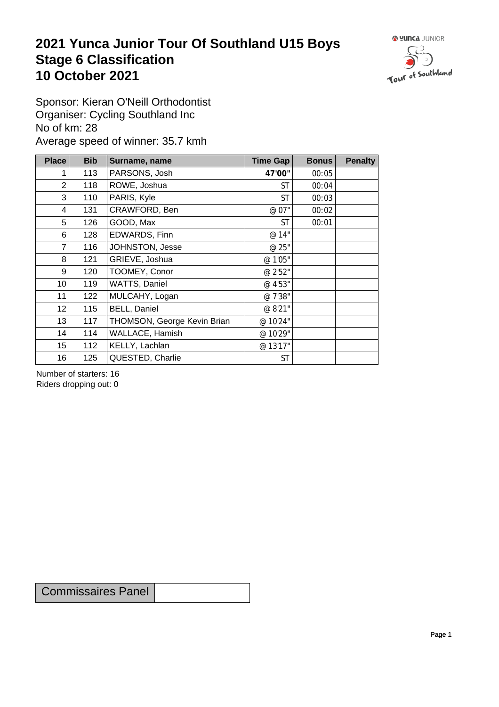## **2021 Yunca Junior Tour Of Southland U15 Boys** Stage 6 Classification<br>10 October 2021 **10 October 2021**



Sponsor: Kieran O'Neill Orthodontist Organiser: Cycling Southland Inc No of km: 28 Average speed of winner: 35.7 kmh

| <b>Place</b>    | <b>Bib</b> | Surname, name               | Time Gap  | <b>Bonus</b> | <b>Penalty</b> |
|-----------------|------------|-----------------------------|-----------|--------------|----------------|
|                 | 113        | PARSONS, Josh               | 47'00"    | 00:05        |                |
| $\overline{2}$  | 118        | ROWE, Joshua                | <b>ST</b> | 00:04        |                |
| 3               | 110        | PARIS, Kyle                 | <b>ST</b> | 00:03        |                |
| 4               | 131        | CRAWFORD, Ben               | @ 07"     | 00:02        |                |
| 5               | 126        | GOOD, Max                   | <b>ST</b> | 00:01        |                |
| 6               | 128        | EDWARDS, Finn               | @ 14"     |              |                |
| $\overline{7}$  | 116        | JOHNSTON, Jesse             | @ 25"     |              |                |
| 8               | 121        | GRIEVE, Joshua              | @ 1'05"   |              |                |
| 9               | 120        | TOOMEY, Conor               | @ 2'52"   |              |                |
| 10 <sup>1</sup> | 119        | WATTS, Daniel               | @ 4'53"   |              |                |
| 11              | 122        | MULCAHY, Logan              | @ 7'38"   |              |                |
| 12              | 115        | <b>BELL, Daniel</b>         | @ 8'21"   |              |                |
| 13              | 117        | THOMSON, George Kevin Brian | @ 10'24"  |              |                |
| 14              | 114        | WALLACE, Hamish             | @ 10'29"  |              |                |
| 15              | 112        | KELLY, Lachlan              | @ 13'17"  |              |                |
| 16              | 125        | QUESTED, Charlie            | <b>ST</b> |              |                |

Number of starters: 16 Riders dropping out: 0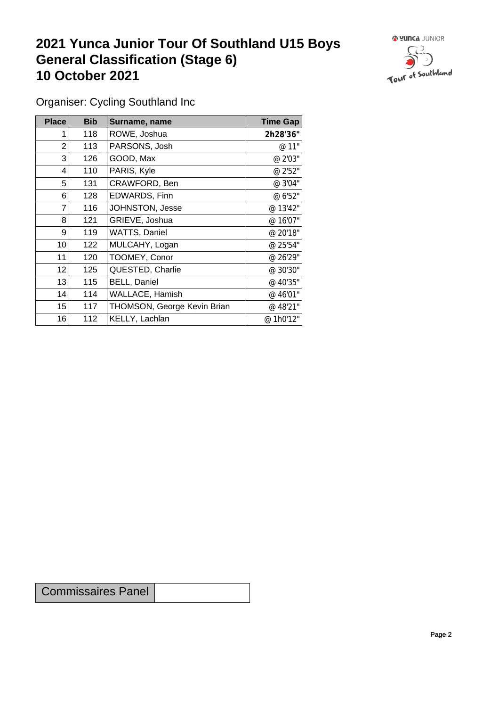## **2021 Yunca Junior Tour Of Southland U15 Boys General Classification (Stage 6)**<br>10 October 2021 **10 October 2021**



Organiser: Cycling Southland Inc

| <b>Place</b>     | <b>Bib</b> | Surname, name               | <b>Time Gap</b> |
|------------------|------------|-----------------------------|-----------------|
|                  | 118        | ROWE, Joshua                | 2h28'36"        |
| 2                | 113        | PARSONS, Josh               | @ 11"           |
| 3                | 126        | GOOD, Max                   | @ 2'03"         |
| 4                | 110        | PARIS, Kyle                 | @ 2'52"         |
| 5                | 131        | CRAWFORD, Ben               | @ 3'04"         |
| 6                | 128        | EDWARDS, Finn               | @ 6'52"         |
| 7                | 116        | JOHNSTON, Jesse             | @ 13'42"        |
| 8                | 121        | GRIEVE, Joshua              | @ 16'07"        |
| 9                | 119        | WATTS, Daniel               | @ 20'18"        |
| 10 <sup>1</sup>  | 122        | MULCAHY, Logan              | @ 25'54"        |
| 11               | 120        | TOOMEY, Conor               | @ 26'29"        |
| 12               | 125        | QUESTED, Charlie            | @ 30'30"        |
| 13               | 115        | <b>BELL, Daniel</b>         | @ 40'35"        |
| 14               | 114        | WALLACE, Hamish             | @ 46'01"        |
| 15 <sub>15</sub> | 117        | THOMSON, George Kevin Brian | @ 48'21"        |
| 16               | 112        | KELLY, Lachlan              | @ 1h0'12"       |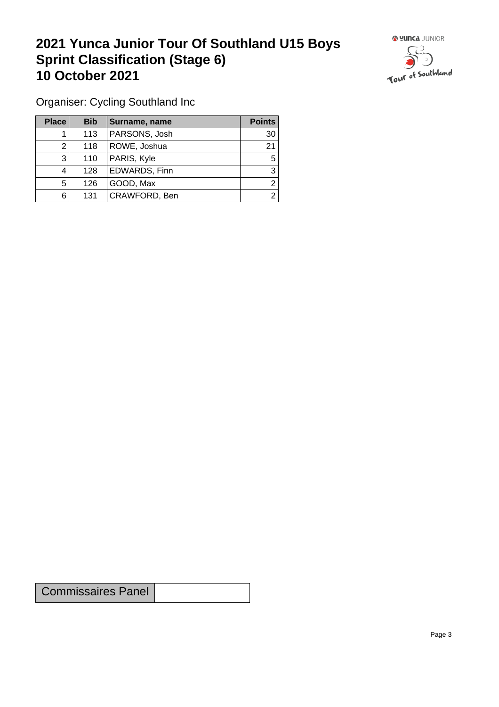## **2021 Yunca Junior Tour Of Southland U15 Boys Sprint Classification (Stage 6) 10 October 2021**



Organiser: Cycling Southland Inc

| <b>Place</b> | <b>Bib</b> | Surname, name | <b>Points</b> |
|--------------|------------|---------------|---------------|
|              | 113        | PARSONS, Josh | 30            |
| ົ            | 118        | ROWE, Joshua  | 21            |
| 3            | 110        | PARIS, Kyle   | 5             |
| 4            | 128        | EDWARDS, Finn | 3             |
| 5            | 126        | GOOD, Max     | ⌒             |
| 6            | 131        | CRAWFORD, Ben | ⌒             |